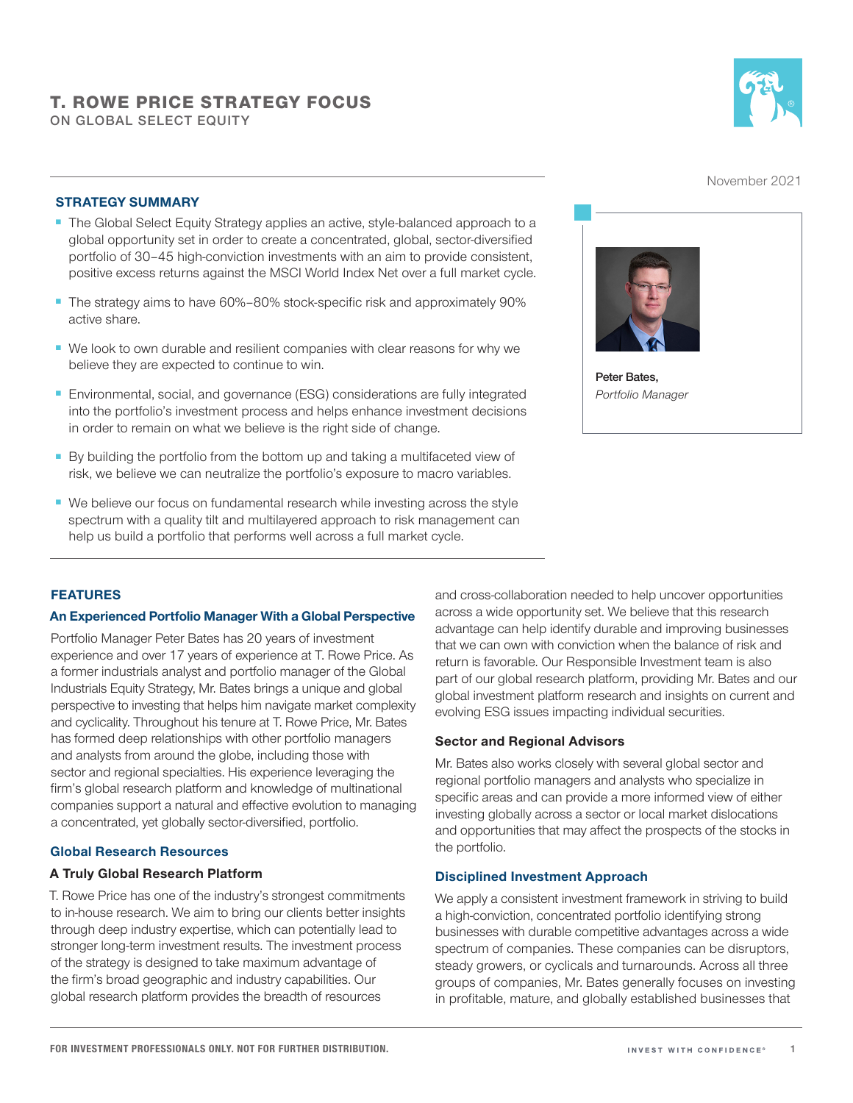# T. ROWE PRICE STRATEGY FOCUS

**ON GLOBAL SELECT EQUITY**



November 2021

## STRATEGY SUMMARY

- The Global Select Equity Strategy applies an active, style-balanced approach to a global opportunity set in order to create a concentrated, global, sector-diversified portfolio of 30–45 high-conviction investments with an aim to provide consistent, positive excess returns against the MSCI World Index Net over a full market cycle.
- The strategy aims to have 60%–80% stock-specific risk and approximately 90% active share.
- We look to own durable and resilient companies with clear reasons for why we believe they are expected to continue to win.
- Environmental, social, and governance (ESG) considerations are fully integrated into the portfolio's investment process and helps enhance investment decisions in order to remain on what we believe is the right side of change.
- By building the portfolio from the bottom up and taking a multifaceted view of risk, we believe we can neutralize the portfolio's exposure to macro variables.
- We believe our focus on fundamental research while investing across the style spectrum with a quality tilt and multilayered approach to risk management can help us build a portfolio that performs well across a full market cycle.



**Peter Bates,**  *Portfolio Manager*

## FEATURES

#### An Experienced Portfolio Manager With a Global Perspective

Portfolio Manager Peter Bates has 20 years of investment experience and over 17 years of experience at T. Rowe Price. As a former industrials analyst and portfolio manager of the Global Industrials Equity Strategy, Mr. Bates brings a unique and global perspective to investing that helps him navigate market complexity and cyclicality. Throughout his tenure at T. Rowe Price, Mr. Bates has formed deep relationships with other portfolio managers and analysts from around the globe, including those with sector and regional specialties. His experience leveraging the firm's global research platform and knowledge of multinational companies support a natural and effective evolution to managing a concentrated, yet globally sector-diversified, portfolio.

#### Global Research Resources

#### A Truly Global Research Platform

T. Rowe Price has one of the industry's strongest commitments to in-house research. We aim to bring our clients better insights through deep industry expertise, which can potentially lead to stronger long-term investment results. The investment process of the strategy is designed to take maximum advantage of the firm's broad geographic and industry capabilities. Our global research platform provides the breadth of resources

and cross-collaboration needed to help uncover opportunities across a wide opportunity set. We believe that this research advantage can help identify durable and improving businesses that we can own with conviction when the balance of risk and return is favorable. Our Responsible Investment team is also part of our global research platform, providing Mr. Bates and our global investment platform research and insights on current and evolving ESG issues impacting individual securities.

#### Sector and Regional Advisors

Mr. Bates also works closely with several global sector and regional portfolio managers and analysts who specialize in specific areas and can provide a more informed view of either investing globally across a sector or local market dislocations and opportunities that may affect the prospects of the stocks in the portfolio.

#### Disciplined Investment Approach

We apply a consistent investment framework in striving to build a high-conviction, concentrated portfolio identifying strong businesses with durable competitive advantages across a wide spectrum of companies. These companies can be disruptors, steady growers, or cyclicals and turnarounds. Across all three groups of companies, Mr. Bates generally focuses on investing in profitable, mature, and globally established businesses that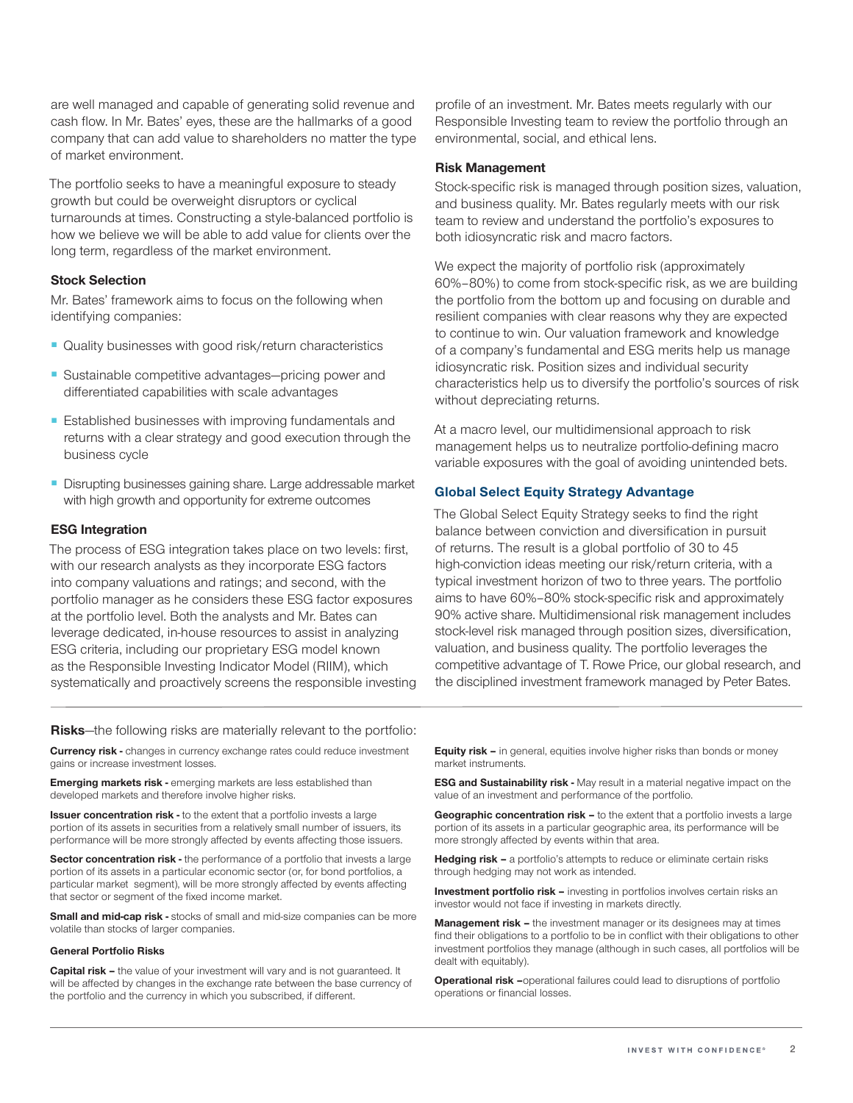are well managed and capable of generating solid revenue and cash flow. In Mr. Bates' eyes, these are the hallmarks of a good company that can add value to shareholders no matter the type of market environment.

The portfolio seeks to have a meaningful exposure to steady growth but could be overweight disruptors or cyclical turnarounds at times. Constructing a style-balanced portfolio is how we believe we will be able to add value for clients over the long term, regardless of the market environment.

#### Stock Selection

Mr. Bates' framework aims to focus on the following when identifying companies:

- Quality businesses with good risk/return characteristics
- Sustainable competitive advantages-pricing power and differentiated capabilities with scale advantages
- Established businesses with improving fundamentals and returns with a clear strategy and good execution through the business cycle
- Disrupting businesses gaining share. Large addressable market with high growth and opportunity for extreme outcomes

#### ESG Integration

The process of ESG integration takes place on two levels: first, with our research analysts as they incorporate ESG factors into company valuations and ratings; and second, with the portfolio manager as he considers these ESG factor exposures at the portfolio level. Both the analysts and Mr. Bates can leverage dedicated, in-house resources to assist in analyzing ESG criteria, including our proprietary ESG model known as the Responsible Investing Indicator Model (RIIM), which systematically and proactively screens the responsible investing profile of an investment. Mr. Bates meets regularly with our Responsible Investing team to review the portfolio through an environmental, social, and ethical lens.

#### Risk Management

Stock-specific risk is managed through position sizes, valuation, and business quality. Mr. Bates regularly meets with our risk team to review and understand the portfolio's exposures to both idiosyncratic risk and macro factors.

We expect the majority of portfolio risk (approximately 60%–80%) to come from stock-specific risk, as we are building the portfolio from the bottom up and focusing on durable and resilient companies with clear reasons why they are expected to continue to win. Our valuation framework and knowledge of a company's fundamental and ESG merits help us manage idiosyncratic risk. Position sizes and individual security characteristics help us to diversify the portfolio's sources of risk without depreciating returns.

At a macro level, our multidimensional approach to risk management helps us to neutralize portfolio-defining macro variable exposures with the goal of avoiding unintended bets.

#### Global Select Equity Strategy Advantage

The Global Select Equity Strategy seeks to find the right balance between conviction and diversification in pursuit of returns. The result is a global portfolio of 30 to 45 high-conviction ideas meeting our risk/return criteria, with a typical investment horizon of two to three years. The portfolio aims to have 60%–80% stock-specific risk and approximately 90% active share. Multidimensional risk management includes stock-level risk managed through position sizes, diversification, valuation, and business quality. The portfolio leverages the competitive advantage of T. Rowe Price, our global research, and the disciplined investment framework managed by Peter Bates.

**Risks**—the following risks are materially relevant to the portfolio:

**Currency risk -** changes in currency exchange rates could reduce investment gains or increase investment losses.

**Emerging markets risk - emerging markets are less established than** developed markets and therefore involve higher risks.

**Issuer concentration risk -** to the extent that a portfolio invests a large portion of its assets in securities from a relatively small number of issuers, its performance will be more strongly affected by events affecting those issuers.

Sector concentration risk - the performance of a portfolio that invests a large portion of its assets in a particular economic sector (or, for bond portfolios, a particular market segment), will be more strongly affected by events affecting that sector or segment of the fixed income market.

Small and mid-cap risk - stocks of small and mid-size companies can be more volatile than stocks of larger companies.

#### General Portfolio Risks

Capital risk – the value of your investment will vary and is not guaranteed. It will be affected by changes in the exchange rate between the base currency of the portfolio and the currency in which you subscribed, if different.

**Equity risk –** in general, equities involve higher risks than bonds or money market instruments.

ESG and Sustainability risk - May result in a material negative impact on the value of an investment and performance of the portfolio.

Geographic concentration risk - to the extent that a portfolio invests a large portion of its assets in a particular geographic area, its performance will be more strongly affected by events within that area.

Hedging risk - a portfolio's attempts to reduce or eliminate certain risks through hedging may not work as intended.

Investment portfolio risk - investing in portfolios involves certain risks an investor would not face if investing in markets directly.

**Management risk -** the investment manager or its designees may at times find their obligations to a portfolio to be in conflict with their obligations to other investment portfolios they manage (although in such cases, all portfolios will be dealt with equitably).

Operational risk -operational failures could lead to disruptions of portfolio operations or financial losses.